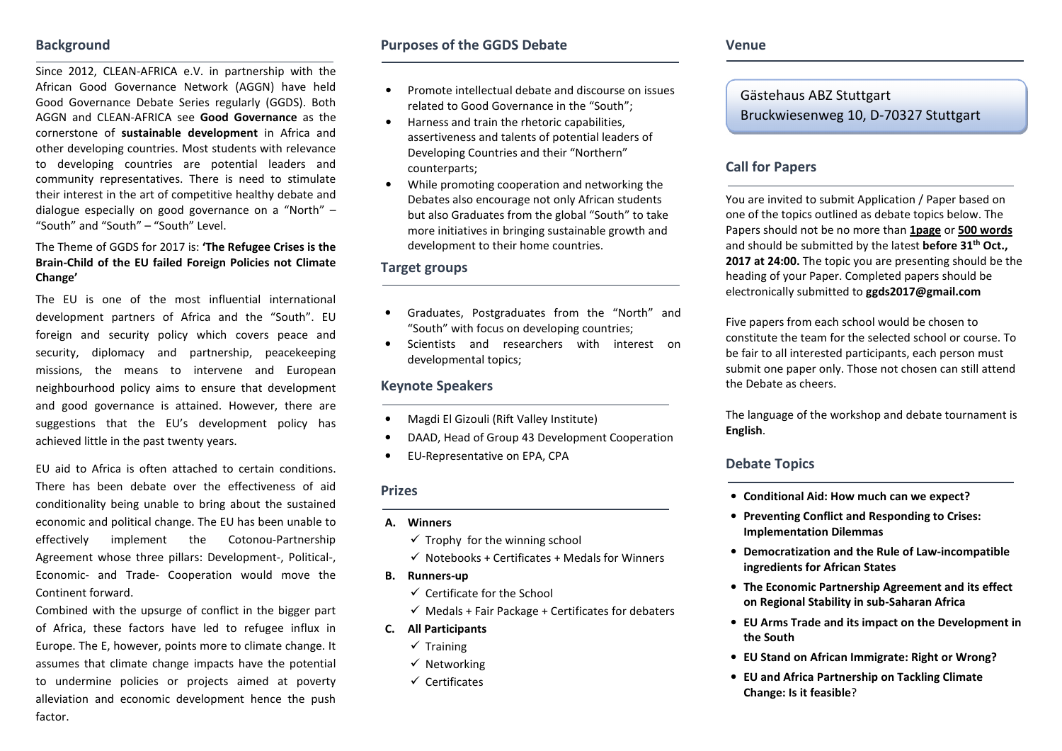#### **Background**

Since 2012, CLEAN-AFRICA e.V. in partnership with the African Good Governance Network (AGGN) have held Good Governance Debate Series regularly (GGDS). Both AGGN and CLEAN-AFRICA see **Good Governance** as the cornerstone of **sustainable development** in Africa and other developing countries. Most students with relevance to developing countries are potential leaders and community representatives. There is need to stimulate their interest in the art of competitive healthy debate and dialogue especially on good governance on a "North" – "South" and "South" – "South" Level.

#### The Theme of GGDS for 2017 is: **'The Refugee Crises is the Brain-Child of the EU failed Foreign Policies not Climate Change'**

The EU is one of the most influential internationaldevelopment partners of Africa and the "South". EU foreign and security policy which covers peace and security, diplomacy and partnership, peacekeeping missions, the means to intervene and European neighbourhood policy aims to ensure that development and good governance is attained. However, there are suggestions that the EU's development policy has achieved little in the past twenty years.

EU aid to Africa is often attached to certain conditions. There has been debate over the effectiveness of aid conditionality being unable to bring about the sustained economic and political change. The EU has been unable to effectively implement the Cotonou-Partnership Agreement whose three pillars: Development-, Political-, Economic- and Trade- Cooperation would move the Continent forward.

Combined with the upsurge of conflict in the bigger part of Africa, these factors have led to refugee influx in Europe. The E, however, points more to climate change. It assumes that climate change impacts have the potential to undermine policies or projects aimed at poverty alleviation and economic development hence the pushfactor.

### **Purposes of the GGDS Debate**

- • Promote intellectual debate and discourse on issues related to Good Governance in the "South";
- Harness and train the rhetoric capabilities, assertiveness and talents of potential leaders of Developing Countries and their "Northern" counterparts;
- • While promoting cooperation and networking the Debates also encourage not only African students but also Graduates from the global "South" to take more initiatives in bringing sustainable growth anddevelopment to their home countries.

#### **Target groups**

- Graduates, Postgraduates from the "North" and "South" with focus on developing countries;
- Scientists and researchers with interest on developmental topics;

#### **Keynote Speakers**

- •Magdi El Gizouli (Rift Valley Institute)
- •DAAD, Head of Group 43 Development Cooperation
- •EU-Representative on EPA, CPA

#### **Prizes**

- **A. Winners** 
	- $\checkmark$  Trophy for the winning school
	- $\checkmark$  Notebooks + Certificates + Medals for Winners
- **B. Runners-up** 
	- $\checkmark$  Certificate for the School
	- $\checkmark$  Medals + Fair Package + Certificates for debaters
- **C. All Participants** 
	- $\checkmark$  Training
	- $\checkmark$  Networking
	- $\checkmark$  Certificates

# Gästehaus ABZ Stuttgart Bruckwiesenweg 10, D-70327 Stuttgart

## **Call for Papers**

You are invited to submit Application / Paper based on one of the topics outlined as debate topics below. The Papers should not be no more than **1page** or **500 words** and should be submitted by the latest **before 31th Oct., 2017 at 24:00.** The topic you are presenting should be the heading of your Paper. Completed papers should be electronically submitted to **ggds2017@gmail.com**

Five papers from each school would be chosen to constitute the team for the selected school or course. To be fair to all interested participants, each person must submit one paper only. Those not chosen can still attend the Debate as cheers.

The language of the workshop and debate tournament is **English**.

#### **Debate Topics**

- **Conditional Aid: How much can we expect?**
- **Preventing Conflict and Responding to Crises: Implementation Dilemmas**
- **Democratization and the Rule of Law-incompatible ingredients for African States**
- **The Economic Partnership Agreement and its effect on Regional Stability in sub-Saharan Africa**
- **EU Arms Trade and its impact on the Development in the South**
- **EU Stand on African Immigrate: Right or Wrong?**
- **EU and Africa Partnership on Tackling Climate Change: Is it feasible**?

**Venue**